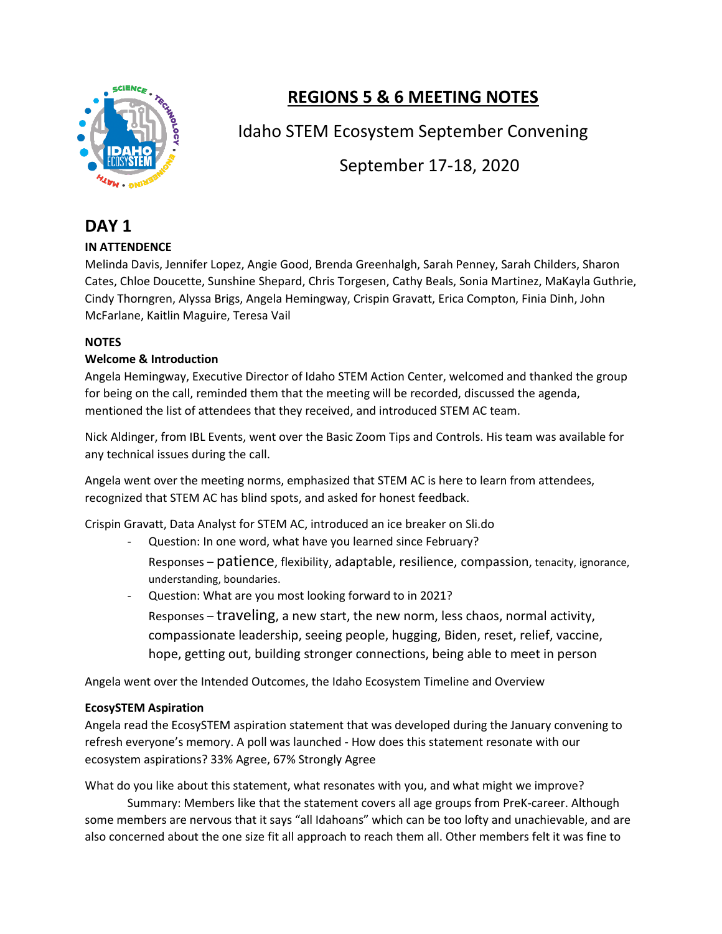

# **REGIONS 5 & 6 MEETING NOTES**

# Idaho STEM Ecosystem September Convening

September 17-18, 2020

# **DAY 1**

# **IN ATTENDENCE**

Melinda Davis, Jennifer Lopez, Angie Good, Brenda Greenhalgh, Sarah Penney, Sarah Childers, Sharon Cates, Chloe Doucette, Sunshine Shepard, Chris Torgesen, Cathy Beals, Sonia Martinez, MaKayla Guthrie, Cindy Thorngren, Alyssa Brigs, Angela Hemingway, Crispin Gravatt, Erica Compton, Finia Dinh, John McFarlane, Kaitlin Maguire, Teresa Vail

# **NOTES**

# **Welcome & Introduction**

Angela Hemingway, Executive Director of Idaho STEM Action Center, welcomed and thanked the group for being on the call, reminded them that the meeting will be recorded, discussed the agenda, mentioned the list of attendees that they received, and introduced STEM AC team.

Nick Aldinger, from IBL Events, went over the Basic Zoom Tips and Controls. His team was available for any technical issues during the call.

Angela went over the meeting norms, emphasized that STEM AC is here to learn from attendees, recognized that STEM AC has blind spots, and asked for honest feedback.

Crispin Gravatt, Data Analyst for STEM AC, introduced an ice breaker on Sli.do

- Question: In one word, what have you learned since February?
	- Responses patience, flexibility, adaptable, resilience, compassion, tenacity, ignorance, understanding, boundaries.
- Question: What are you most looking forward to in 2021?
	- Responses traveling, a new start, the new norm, less chaos, normal activity, compassionate leadership, seeing people, hugging, Biden, reset, relief, vaccine, hope, getting out, building stronger connections, being able to meet in person

Angela went over the Intended Outcomes, the Idaho Ecosystem Timeline and Overview

# **EcosySTEM Aspiration**

Angela read the EcosySTEM aspiration statement that was developed during the January convening to refresh everyone's memory. A poll was launched - How does this statement resonate with our ecosystem aspirations? 33% Agree, 67% Strongly Agree

What do you like about this statement, what resonates with you, and what might we improve?

Summary: Members like that the statement covers all age groups from PreK-career. Although some members are nervous that it says "all Idahoans" which can be too lofty and unachievable, and are also concerned about the one size fit all approach to reach them all. Other members felt it was fine to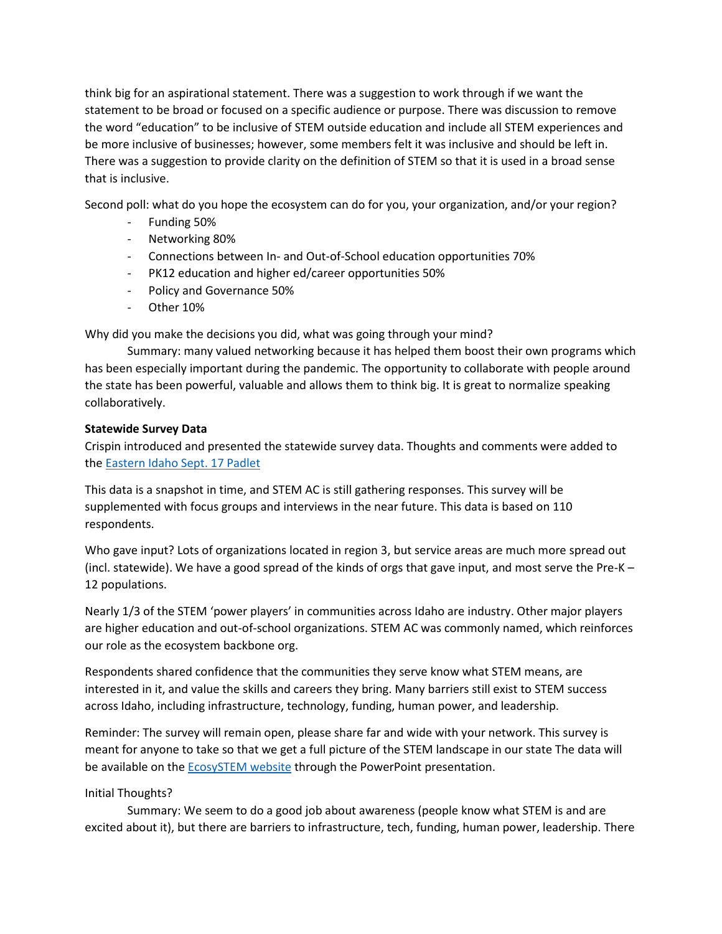think big for an aspirational statement. There was a suggestion to work through if we want the statement to be broad or focused on a specific audience or purpose. There was discussion to remove the word "education" to be inclusive of STEM outside education and include all STEM experiences and be more inclusive of businesses; however, some members felt it was inclusive and should be left in. There was a suggestion to provide clarity on the definition of STEM so that it is used in a broad sense that is inclusive.

Second poll: what do you hope the ecosystem can do for you, your organization, and/or your region?

- Funding 50%
- Networking 80%
- Connections between In- and Out-of-School education opportunities 70%
- PK12 education and higher ed/career opportunities 50%
- Policy and Governance 50%
- Other 10%

Why did you make the decisions you did, what was going through your mind?

Summary: many valued networking because it has helped them boost their own programs which has been especially important during the pandemic. The opportunity to collaborate with people around the state has been powerful, valuable and allows them to think big. It is great to normalize speaking collaboratively.

# **Statewide Survey Data**

Crispin introduced and presented the statewide survey data. Thoughts and comments were added to th[e Eastern Idaho Sept. 17 Padlet](https://padlet.com/crispingravatt/dabj9a5s3cseguo3)

This data is a snapshot in time, and STEM AC is still gathering responses. This survey will be supplemented with focus groups and interviews in the near future. This data is based on 110 respondents.

Who gave input? Lots of organizations located in region 3, but service areas are much more spread out (incl. statewide). We have a good spread of the kinds of orgs that gave input, and most serve the Pre-K – 12 populations.

Nearly 1/3 of the STEM 'power players' in communities across Idaho are industry. Other major players are higher education and out-of-school organizations. STEM AC was commonly named, which reinforces our role as the ecosystem backbone org.

Respondents shared confidence that the communities they serve know what STEM means, are interested in it, and value the skills and careers they bring. Many barriers still exist to STEM success across Idaho, including infrastructure, technology, funding, human power, and leadership.

Reminder: The survey will remain open, please share far and wide with your network. This survey is meant for anyone to take so that we get a full picture of the STEM landscape in our state The data will be available on the [EcosySTEM website](https://stem.idaho.gov/idaho-stem-ecosystem/) through the PowerPoint presentation.

# Initial Thoughts?

Summary: We seem to do a good job about awareness (people know what STEM is and are excited about it), but there are barriers to infrastructure, tech, funding, human power, leadership. There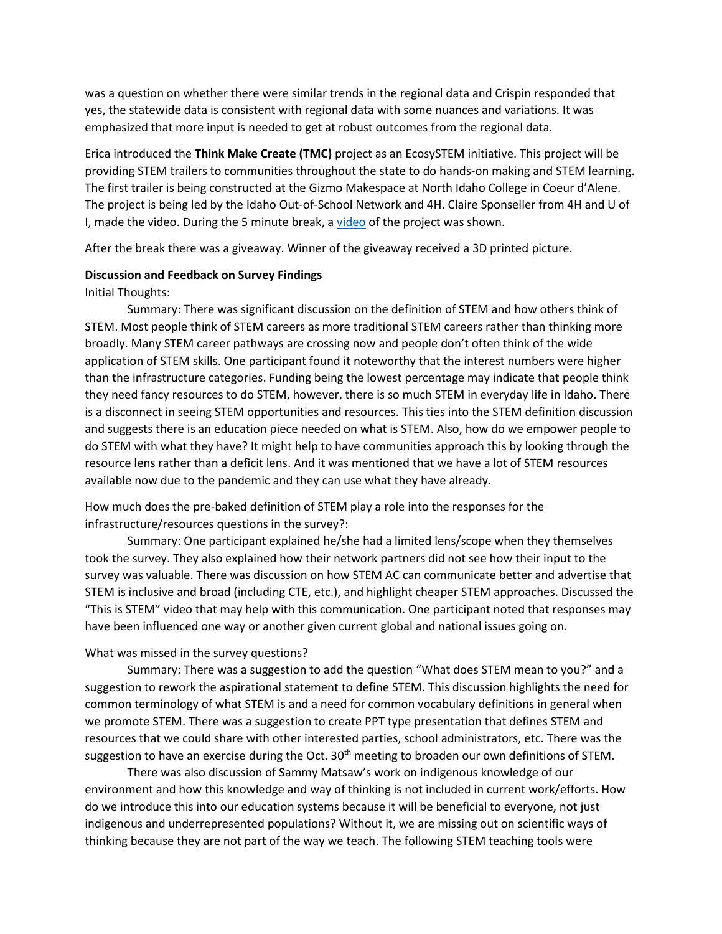was a question on whether there were similar trends in the regional data and Crispin responded that yes, the statewide data is consistent with regional data with some nuances and variations. It was emphasized that more input is needed to get at robust outcomes from the regional data.

Erica introduced the **Think Make Create (TMC)** project as an EcosySTEM initiative. This project will be providing STEM trailers to communities throughout the state to do hands-on making and STEM learning. The first trailer is being constructed at the Gizmo Makespace at North Idaho College in Coeur d'Alene. The project is being led by the Idaho Out-of-School Network and 4H. Claire Sponseller from 4H and U of I, made the [video](https://www.youtube.com/watch?v=OGItg1fnpEc&feature=youtu.be). During the 5 minute break, a video of the project was shown.

After the break there was a giveaway. Winner of the giveaway received a 3D printed picture.

#### **Discussion and Feedback on Survey Findings**

#### Initial Thoughts:

Summary: There was significant discussion on the definition of STEM and how others think of STEM. Most people think of STEM careers as more traditional STEM careers rather than thinking more broadly. Many STEM career pathways are crossing now and people don't often think of the wide application of STEM skills. One participant found it noteworthy that the interest numbers were higher than the infrastructure categories. Funding being the lowest percentage may indicate that people think they need fancy resources to do STEM, however, there is so much STEM in everyday life in Idaho. There is a disconnect in seeing STEM opportunities and resources. This ties into the STEM definition discussion and suggests there is an education piece needed on what is STEM. Also, how do we empower people to do STEM with what they have? It might help to have communities approach this by looking through the resource lens rather than a deficit lens. And it was mentioned that we have a lot of STEM resources available now due to the pandemic and they can use what they have already.

How much does the pre-baked definition of STEM play a role into the responses for the infrastructure/resources questions in the survey?:

Summary: One participant explained he/she had a limited lens/scope when they themselves took the survey. They also explained how their network partners did not see how their input to the survey was valuable. There was discussion on how STEM AC can communicate better and advertise that STEM is inclusive and broad (including CTE, etc.), and highlight cheaper STEM approaches. Discussed the "This is STEM" video that may help with this communication. One participant noted that responses may have been influenced one way or another given current global and national issues going on.

#### What was missed in the survey questions?

Summary: There was a suggestion to add the question "What does STEM mean to you?" and a suggestion to rework the aspirational statement to define STEM. This discussion highlights the need for common terminology of what STEM is and a need for common vocabulary definitions in general when we promote STEM. There was a suggestion to create PPT type presentation that defines STEM and resources that we could share with other interested parties, school administrators, etc. There was the suggestion to have an exercise during the Oct.  $30<sup>th</sup>$  meeting to broaden our own definitions of STEM.

There was also discussion of Sammy Matsaw's work on indigenous knowledge of our environment and how this knowledge and way of thinking is not included in current work/efforts. How do we introduce this into our education systems because it will be beneficial to everyone, not just indigenous and underrepresented populations? Without it, we are missing out on scientific ways of thinking because they are not part of the way we teach. The following STEM teaching tools were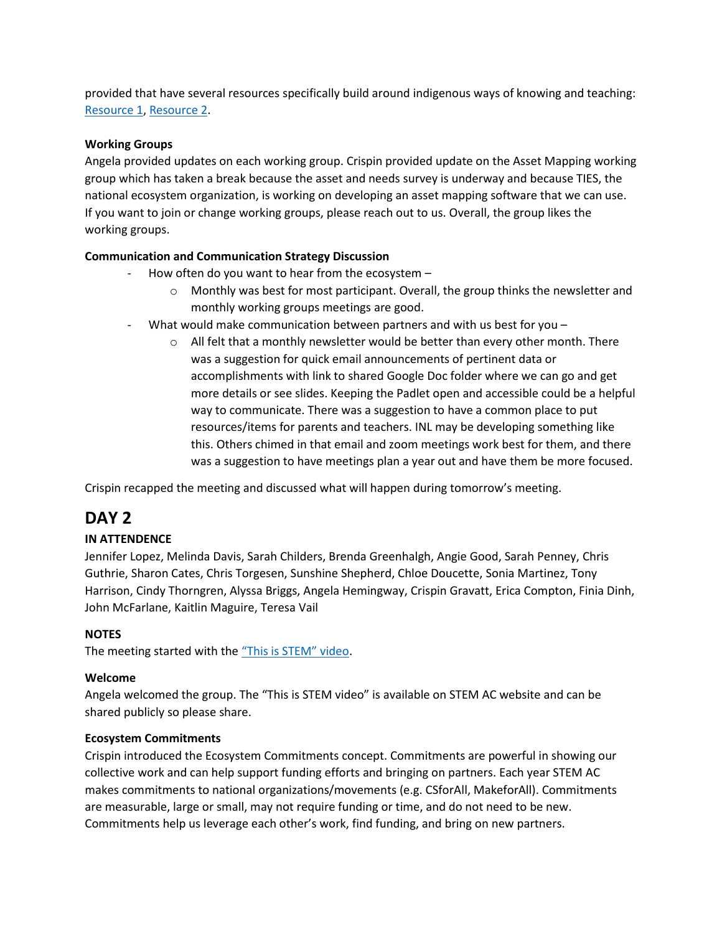provided that have several resources specifically build around indigenous ways of knowing and teaching: [Resource 1,](http://stemteachingtools.org/brief/11) [Resource 2.](http://stemteachingtools.org/brief/10)

# **Working Groups**

Angela provided updates on each working group. Crispin provided update on the Asset Mapping working group which has taken a break because the asset and needs survey is underway and because TIES, the national ecosystem organization, is working on developing an asset mapping software that we can use. If you want to join or change working groups, please reach out to us. Overall, the group likes the working groups.

# **Communication and Communication Strategy Discussion**

- How often do you want to hear from the ecosystem  $$ 
	- o Monthly was best for most participant. Overall, the group thinks the newsletter and monthly working groups meetings are good.
- What would make communication between partners and with us best for you  $-$ 
	- $\circ$  All felt that a monthly newsletter would be better than every other month. There was a suggestion for quick email announcements of pertinent data or accomplishments with link to shared Google Doc folder where we can go and get more details or see slides. Keeping the Padlet open and accessible could be a helpful way to communicate. There was a suggestion to have a common place to put resources/items for parents and teachers. INL may be developing something like this. Others chimed in that email and zoom meetings work best for them, and there was a suggestion to have meetings plan a year out and have them be more focused.

Crispin recapped the meeting and discussed what will happen during tomorrow's meeting.

# **DAY 2**

# **IN ATTENDENCE**

Jennifer Lopez, Melinda Davis, Sarah Childers, Brenda Greenhalgh, Angie Good, Sarah Penney, Chris Guthrie, Sharon Cates, Chris Torgesen, Sunshine Shepherd, Chloe Doucette, Sonia Martinez, Tony Harrison, Cindy Thorngren, Alyssa Briggs, Angela Hemingway, Crispin Gravatt, Erica Compton, Finia Dinh, John McFarlane, Kaitlin Maguire, Teresa Vail

# **NOTES**

The meeting started with the ["This is STEM" video](https://youtu.be/1MM_oToOVEI).

# **Welcome**

Angela welcomed the group. The "This is STEM video" is available on STEM AC website and can be shared publicly so please share.

# **Ecosystem Commitments**

Crispin introduced the Ecosystem Commitments concept. Commitments are powerful in showing our collective work and can help support funding efforts and bringing on partners. Each year STEM AC makes commitments to national organizations/movements (e.g. CSforAll, MakeforAll). Commitments are measurable, large or small, may not require funding or time, and do not need to be new. Commitments help us leverage each other's work, find funding, and bring on new partners.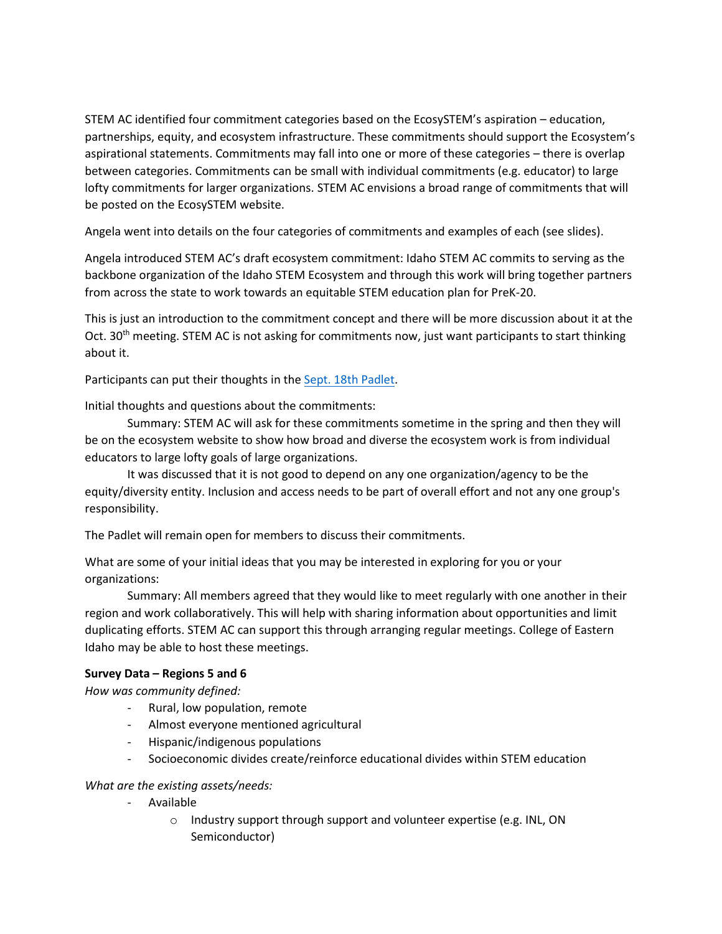STEM AC identified four commitment categories based on the EcosySTEM's aspiration – education, partnerships, equity, and ecosystem infrastructure. These commitments should support the Ecosystem's aspirational statements. Commitments may fall into one or more of these categories – there is overlap between categories. Commitments can be small with individual commitments (e.g. educator) to large lofty commitments for larger organizations. STEM AC envisions a broad range of commitments that will be posted on the EcosySTEM website.

Angela went into details on the four categories of commitments and examples of each (see slides).

Angela introduced STEM AC's draft ecosystem commitment: Idaho STEM AC commits to serving as the backbone organization of the Idaho STEM Ecosystem and through this work will bring together partners from across the state to work towards an equitable STEM education plan for PreK-20.

This is just an introduction to the commitment concept and there will be more discussion about it at the Oct. 30<sup>th</sup> meeting. STEM AC is not asking for commitments now, just want participants to start thinking about it.

Participants can put their thoughts in the [Sept. 18th Padlet.](https://padlet.com/crispingravatt/hwizdgp25jmlgjvs)

Initial thoughts and questions about the commitments:

Summary: STEM AC will ask for these commitments sometime in the spring and then they will be on the ecosystem website to show how broad and diverse the ecosystem work is from individual educators to large lofty goals of large organizations.

It was discussed that it is not good to depend on any one organization/agency to be the equity/diversity entity. Inclusion and access needs to be part of overall effort and not any one group's responsibility.

The Padlet will remain open for members to discuss their commitments.

What are some of your initial ideas that you may be interested in exploring for you or your organizations:

Summary: All members agreed that they would like to meet regularly with one another in their region and work collaboratively. This will help with sharing information about opportunities and limit duplicating efforts. STEM AC can support this through arranging regular meetings. College of Eastern Idaho may be able to host these meetings.

# **Survey Data – Regions 5 and 6**

*How was community defined:* 

- Rural, low population, remote
- Almost everyone mentioned agricultural
- Hispanic/indigenous populations
- Socioeconomic divides create/reinforce educational divides within STEM education

# *What are the existing assets/needs:*

- Available
	- o Industry support through support and volunteer expertise (e.g. INL, ON Semiconductor)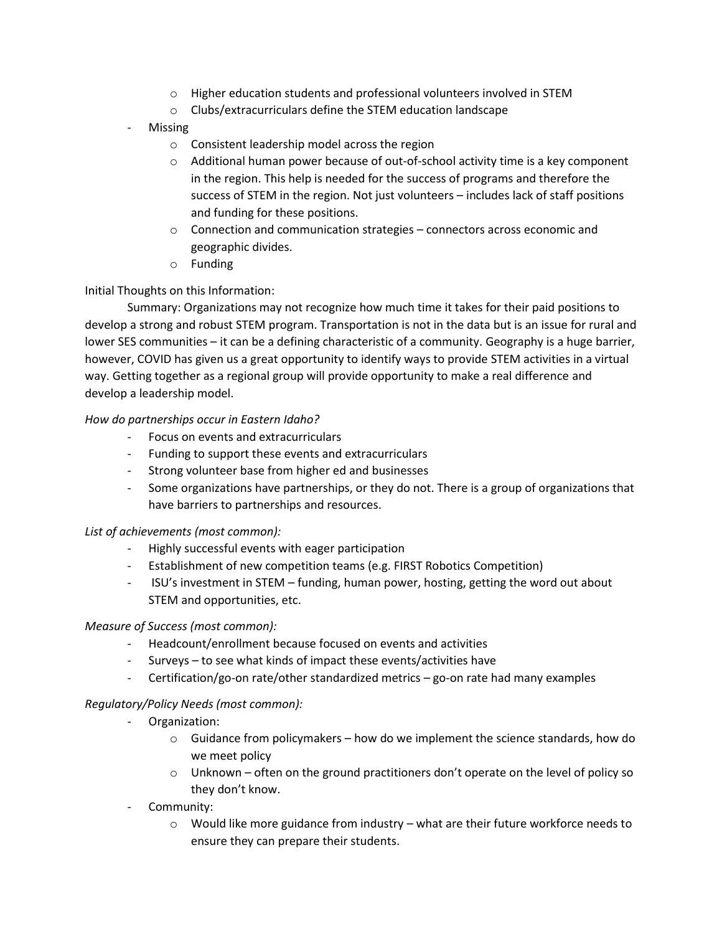- o Higher education students and professional volunteers involved in STEM
- o Clubs/extracurriculars define the STEM education landscape
- **Missing** 
	- o Consistent leadership model across the region
	- $\circ$  Additional human power because of out-of-school activity time is a key component in the region. This help is needed for the success of programs and therefore the success of STEM in the region. Not just volunteers – includes lack of staff positions and funding for these positions.
	- $\circ$  Connection and communication strategies connectors across economic and geographic divides.
	- o Funding

# Initial Thoughts on this Information:

Summary: Organizations may not recognize how much time it takes for their paid positions to develop a strong and robust STEM program. Transportation is not in the data but is an issue for rural and lower SES communities – it can be a defining characteristic of a community. Geography is a huge barrier, however, COVID has given us a great opportunity to identify ways to provide STEM activities in a virtual way. Getting together as a regional group will provide opportunity to make a real difference and develop a leadership model.

# *How do partnerships occur in Eastern Idaho?*

- Focus on events and extracurriculars
- Funding to support these events and extracurriculars
- Strong volunteer base from higher ed and businesses
- Some organizations have partnerships, or they do not. There is a group of organizations that have barriers to partnerships and resources.

# *List of achievements (most common):*

- Highly successful events with eager participation
- Establishment of new competition teams (e.g. FIRST Robotics Competition)
- ISU's investment in STEM funding, human power, hosting, getting the word out about STEM and opportunities, etc.

# *Measure of Success (most common):*

- Headcount/enrollment because focused on events and activities
- Surveys to see what kinds of impact these events/activities have
- Certification/go-on rate/other standardized metrics go-on rate had many examples

# *Regulatory/Policy Needs (most common):*

- Organization:
	- $\circ$  Guidance from policymakers how do we implement the science standards, how do we meet policy
	- $\circ$  Unknown often on the ground practitioners don't operate on the level of policy so they don't know.
- Community:
	- $\circ$  Would like more guidance from industry what are their future workforce needs to ensure they can prepare their students.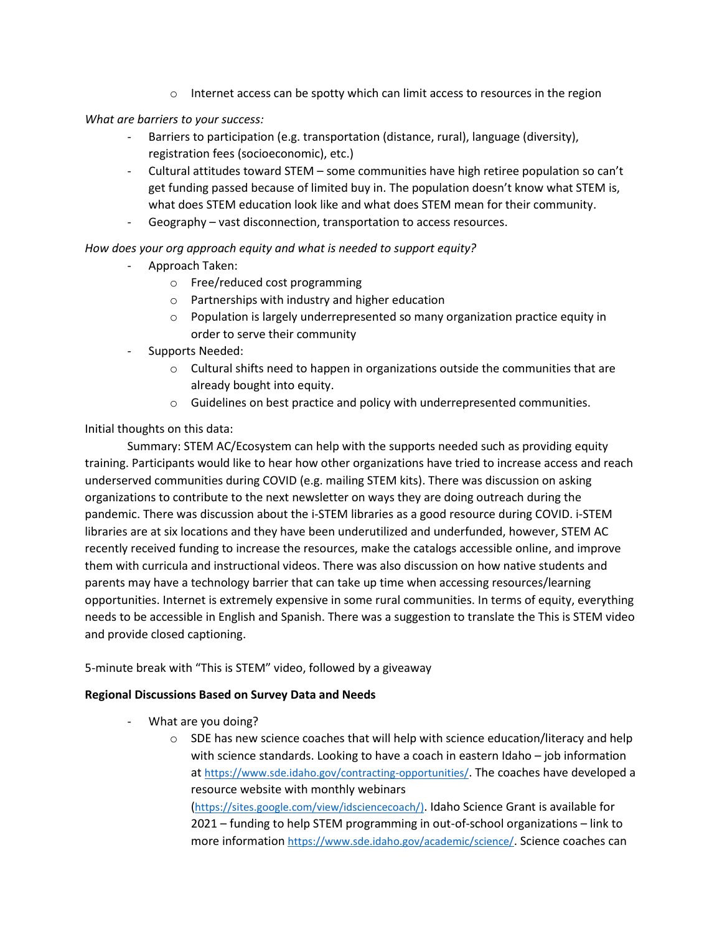$\circ$  Internet access can be spotty which can limit access to resources in the region

*What are barriers to your success:*

- Barriers to participation (e.g. transportation (distance, rural), language (diversity), registration fees (socioeconomic), etc.)
- Cultural attitudes toward STEM some communities have high retiree population so can't get funding passed because of limited buy in. The population doesn't know what STEM is, what does STEM education look like and what does STEM mean for their community.
- Geography vast disconnection, transportation to access resources.

*How does your org approach equity and what is needed to support equity?*

- Approach Taken:
	- o Free/reduced cost programming
	- o Partnerships with industry and higher education
	- o Population is largely underrepresented so many organization practice equity in order to serve their community
- Supports Needed:
	- $\circ$  Cultural shifts need to happen in organizations outside the communities that are already bought into equity.
	- o Guidelines on best practice and policy with underrepresented communities.

Initial thoughts on this data:

Summary: STEM AC/Ecosystem can help with the supports needed such as providing equity training. Participants would like to hear how other organizations have tried to increase access and reach underserved communities during COVID (e.g. mailing STEM kits). There was discussion on asking organizations to contribute to the next newsletter on ways they are doing outreach during the pandemic. There was discussion about the i-STEM libraries as a good resource during COVID. i-STEM libraries are at six locations and they have been underutilized and underfunded, however, STEM AC recently received funding to increase the resources, make the catalogs accessible online, and improve them with curricula and instructional videos. There was also discussion on how native students and parents may have a technology barrier that can take up time when accessing resources/learning opportunities. Internet is extremely expensive in some rural communities. In terms of equity, everything needs to be accessible in English and Spanish. There was a suggestion to translate the This is STEM video and provide closed captioning.

# 5-minute break with "This is STEM" video, followed by a giveaway

# **Regional Discussions Based on Survey Data and Needs**

- What are you doing?
	- $\circ$  SDE has new science coaches that will help with science education/literacy and help with science standards. Looking to have a coach in eastern Idaho – job information at <https://www.sde.idaho.gov/contracting-opportunities/>. The coaches have developed a resource website with monthly webinars

([https://sites.google.com/view/idsciencecoach/\)](https://sites.google.com/view/idsciencecoach/). Idaho Science Grant is available for 2021 – funding to help STEM programming in out-of-school organizations – link to more information <https://www.sde.idaho.gov/academic/science/>. Science coaches can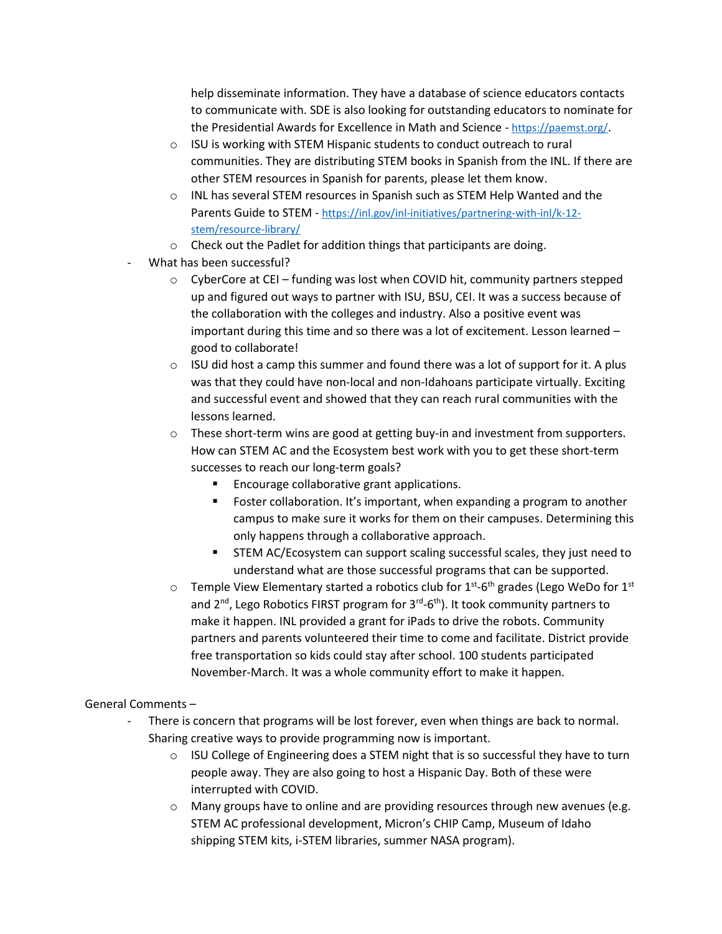help disseminate information. They have a database of science educators contacts to communicate with. SDE is also looking for outstanding educators to nominate for the Presidential Awards for Excellence in Math and Science - <https://paemst.org/>.

- o ISU is working with STEM Hispanic students to conduct outreach to rural communities. They are distributing STEM books in Spanish from the INL. If there are other STEM resources in Spanish for parents, please let them know.
- o INL has several STEM resources in Spanish such as STEM Help Wanted and the Parents Guide to STEM - [https://inl.gov/inl-initiatives/partnering-with-inl/k-12](https://inl.gov/inl-initiatives/partnering-with-inl/k-12-stem/resource-library/) [stem/resource-library/](https://inl.gov/inl-initiatives/partnering-with-inl/k-12-stem/resource-library/)
- o Check out the Padlet for addition things that participants are doing.
- What has been successful?
	- $\circ$  CyberCore at CEI funding was lost when COVID hit, community partners stepped up and figured out ways to partner with ISU, BSU, CEI. It was a success because of the collaboration with the colleges and industry. Also a positive event was important during this time and so there was a lot of excitement. Lesson learned – good to collaborate!
	- $\circ$  ISU did host a camp this summer and found there was a lot of support for it. A plus was that they could have non-local and non-Idahoans participate virtually. Exciting and successful event and showed that they can reach rural communities with the lessons learned.
	- $\circ$  These short-term wins are good at getting buy-in and investment from supporters. How can STEM AC and the Ecosystem best work with you to get these short-term successes to reach our long-term goals?
		- Encourage collaborative grant applications.
		- Foster collaboration. It's important, when expanding a program to another campus to make sure it works for them on their campuses. Determining this only happens through a collaborative approach.
		- **•** STEM AC/Ecosystem can support scaling successful scales, they just need to understand what are those successful programs that can be supported.
	- $\circ$  Temple View Elementary started a robotics club for 1st-6th grades (Lego WeDo for 1st and 2<sup>nd</sup>, Lego Robotics FIRST program for 3<sup>rd</sup>-6<sup>th</sup>). It took community partners to make it happen. INL provided a grant for iPads to drive the robots. Community partners and parents volunteered their time to come and facilitate. District provide free transportation so kids could stay after school. 100 students participated November-March. It was a whole community effort to make it happen.

# General Comments –

- There is concern that programs will be lost forever, even when things are back to normal. Sharing creative ways to provide programming now is important.
	- $\circ$  ISU College of Engineering does a STEM night that is so successful they have to turn people away. They are also going to host a Hispanic Day. Both of these were interrupted with COVID.
	- $\circ$  Many groups have to online and are providing resources through new avenues (e.g. STEM AC professional development, Micron's CHIP Camp, Museum of Idaho shipping STEM kits, i-STEM libraries, summer NASA program).